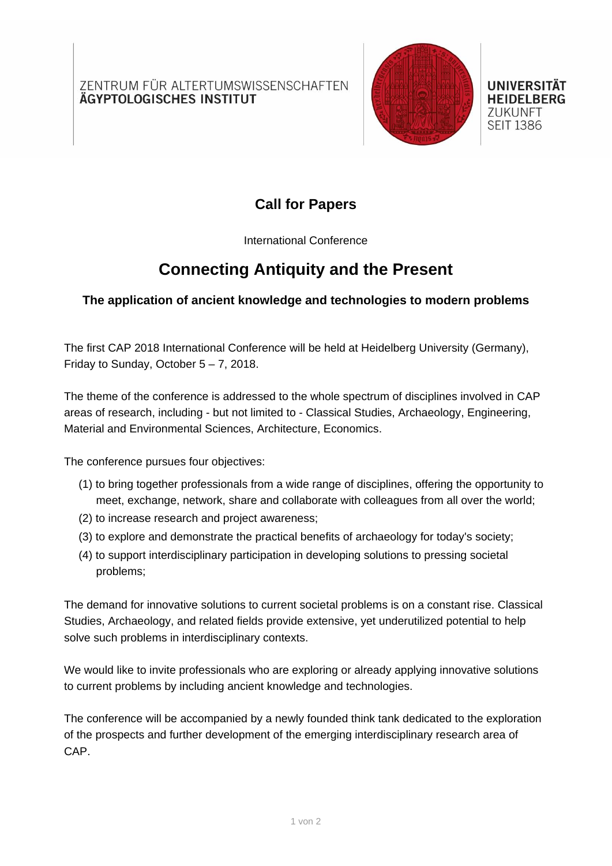ZENTRUM FÜR ALTERTUMSWISSENSCHAFTEN ÄGYPTOLOGISCHES INSTITUT



UNIVERSITÄT **HEIDELBERG ZUKUNFT SEIT 1386** 

## **Call for Papers**

International Conference

## **Connecting Antiquity and the Present**

### **The application of ancient knowledge and technologies to modern problems**

The first CAP 2018 International Conference will be held at Heidelberg University (Germany), Friday to Sunday, October  $5 - 7$ , 2018.

The theme of the conference is addressed to the whole spectrum of disciplines involved in CAP areas of research, including - but not limited to - Classical Studies, Archaeology, Engineering, Material and Environmental Sciences, Architecture, Economics.

The conference pursues four objectives:

- (1) to bring together professionals from a wide range of disciplines, offering the opportunity to meet, exchange, network, share and collaborate with colleagues from all over the world;
- (2) to increase research and project awareness;
- (3) to explore and demonstrate the practical benefits of archaeology for today's society;
- (4) to support interdisciplinary participation in developing solutions to pressing societal problems;

The demand for innovative solutions to current societal problems is on a constant rise. Classical Studies, Archaeology, and related fields provide extensive, yet underutilized potential to help solve such problems in interdisciplinary contexts.

We would like to invite professionals who are exploring or already applying innovative solutions to current problems by including ancient knowledge and technologies.

The conference will be accompanied by a newly founded think tank dedicated to the exploration of the prospects and further development of the emerging interdisciplinary research area of CAP.